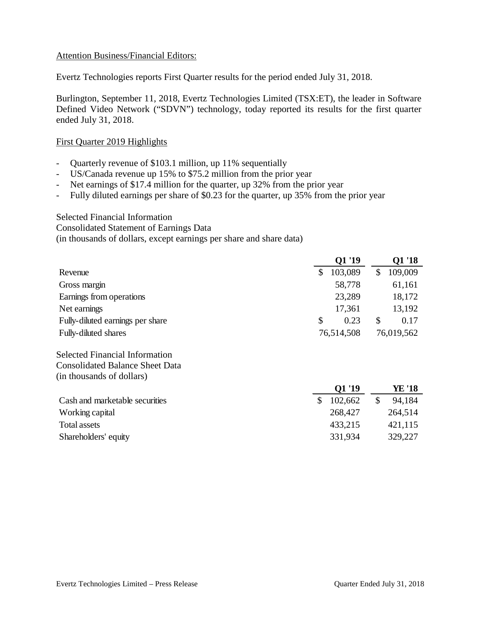## Attention Business/Financial Editors:

Evertz Technologies reports First Quarter results for the period ended July 31, 2018.

Burlington, September 11, 2018, Evertz Technologies Limited (TSX:ET), the leader in Software Defined Video Network ("SDVN") technology, today reported its results for the first quarter ended July 31, 2018.

# First Quarter 2019 Highlights

- Quarterly revenue of \$103.1 million, up 11% sequentially
- US/Canada revenue up 15% to \$75.2 million from the prior year
- Net earnings of \$17.4 million for the quarter, up 32% from the prior year
- Fully diluted earnings per share of \$0.23 for the quarter, up 35% from the prior year

### Selected Financial Information

Consolidated Statement of Earnings Data

(in thousands of dollars, except earnings per share and share data)

|                                        | Q1 '19        |              | Q1 '18     |
|----------------------------------------|---------------|--------------|------------|
| Revenue                                | \$<br>103,089 | $\mathbb{S}$ | 109,009    |
| Gross margin                           | 58,778        |              | 61,161     |
| Earnings from operations               | 23,289        |              | 18,172     |
| Net earnings                           | 17,361        |              | 13,192     |
| Fully-diluted earnings per share       | \$<br>0.23    | \$           | 0.17       |
| Fully-diluted shares                   | 76,514,508    |              | 76,019,562 |
| <b>Selected Financial Information</b>  |               |              |            |
| <b>Consolidated Balance Sheet Data</b> |               |              |            |
| (in thousands of dollars)              |               |              |            |
|                                        | Q1 '19        |              | YE '18     |
| Cash and marketable securities         | \$<br>102,662 | $\mathbb{S}$ | 94,184     |
| Working capital                        | 268,427       |              | 264,514    |
| <b>Total assets</b>                    | 433,215       |              | 421,115    |
| Shareholders' equity                   | 331,934       |              | 329,227    |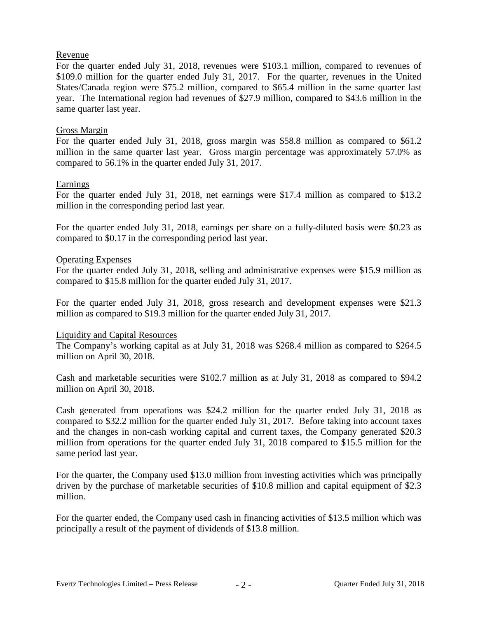## Revenue

For the quarter ended July 31, 2018, revenues were \$103.1 million, compared to revenues of \$109.0 million for the quarter ended July 31, 2017. For the quarter, revenues in the United States/Canada region were \$75.2 million, compared to \$65.4 million in the same quarter last year. The International region had revenues of \$27.9 million, compared to \$43.6 million in the same quarter last year.

# Gross Margin

For the quarter ended July 31, 2018, gross margin was \$58.8 million as compared to \$61.2 million in the same quarter last year. Gross margin percentage was approximately 57.0% as compared to 56.1% in the quarter ended July 31, 2017.

# Earnings

For the quarter ended July 31, 2018, net earnings were \$17.4 million as compared to \$13.2 million in the corresponding period last year.

For the quarter ended July 31, 2018, earnings per share on a fully-diluted basis were \$0.23 as compared to \$0.17 in the corresponding period last year.

# Operating Expenses

For the quarter ended July 31, 2018, selling and administrative expenses were \$15.9 million as compared to \$15.8 million for the quarter ended July 31, 2017.

For the quarter ended July 31, 2018, gross research and development expenses were \$21.3 million as compared to \$19.3 million for the quarter ended July 31, 2017.

### Liquidity and Capital Resources

The Company's working capital as at July 31, 2018 was \$268.4 million as compared to \$264.5 million on April 30, 2018.

Cash and marketable securities were \$102.7 million as at July 31, 2018 as compared to \$94.2 million on April 30, 2018.

Cash generated from operations was \$24.2 million for the quarter ended July 31, 2018 as compared to \$32.2 million for the quarter ended July 31, 2017. Before taking into account taxes and the changes in non-cash working capital and current taxes, the Company generated \$20.3 million from operations for the quarter ended July 31, 2018 compared to \$15.5 million for the same period last year.

For the quarter, the Company used \$13.0 million from investing activities which was principally driven by the purchase of marketable securities of \$10.8 million and capital equipment of \$2.3 million.

For the quarter ended, the Company used cash in financing activities of \$13.5 million which was principally a result of the payment of dividends of \$13.8 million.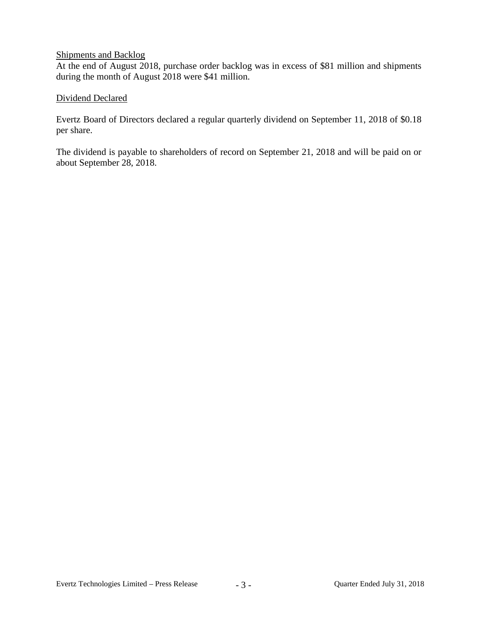# Shipments and Backlog

At the end of August 2018, purchase order backlog was in excess of \$81 million and shipments during the month of August 2018 were \$41 million.

# Dividend Declared

Evertz Board of Directors declared a regular quarterly dividend on September 11, 2018 of \$0.18 per share.

The dividend is payable to shareholders of record on September 21, 2018 and will be paid on or about September 28, 2018.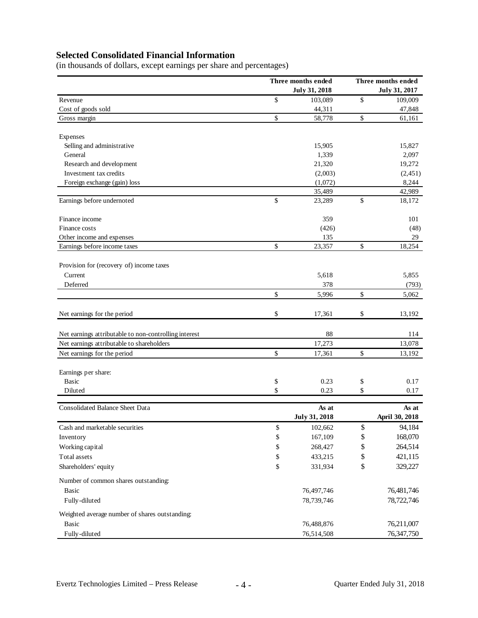# **Selected Consolidated Financial Information**

(in thousands of dollars, except earnings per share and percentages)

|                                                       | Three months ended   |    | Three months ended   |  |  |
|-------------------------------------------------------|----------------------|----|----------------------|--|--|
|                                                       | <b>July 31, 2018</b> |    | <b>July 31, 2017</b> |  |  |
| Revenue                                               | \$<br>103,089        | \$ | 109,009              |  |  |
| Cost of goods sold                                    | 44,311               |    | 47,848               |  |  |
| Gross margin                                          | \$<br>58,778         | \$ | 61,161               |  |  |
| Expenses                                              |                      |    |                      |  |  |
| Selling and administrative                            | 15,905               |    | 15,827               |  |  |
| General                                               | 1,339                |    | 2,097                |  |  |
| Research and development                              | 21,320               |    | 19,272               |  |  |
| Investment tax credits                                | (2,003)              |    | (2,451)              |  |  |
| Foreign exchange (gain) loss                          | (1,072)              |    | 8,244                |  |  |
|                                                       | 35,489               |    | 42,989               |  |  |
| Earnings before undernoted                            | \$<br>23,289         | \$ | 18,172               |  |  |
| Finance income                                        | 359                  |    | 101                  |  |  |
| Finance costs                                         | (426)                |    | (48)                 |  |  |
| Other income and expenses                             | 135                  |    | 29                   |  |  |
| Earnings before income taxes                          | \$<br>23,357         | \$ | 18,254               |  |  |
| Provision for (recovery of) income taxes              |                      |    |                      |  |  |
| Current                                               | 5,618                |    | 5,855                |  |  |
| Deferred                                              | 378                  |    | (793)                |  |  |
|                                                       | \$<br>5,996          | \$ | 5,062                |  |  |
| Net earnings for the period                           | \$<br>17,361         | \$ | 13,192               |  |  |
| Net earnings attributable to non-controlling interest | 88                   |    | 114                  |  |  |
| Net earnings attributable to shareholders             | 17,273               |    | 13,078               |  |  |
| Net earnings for the period                           | \$<br>17,361         | \$ | 13,192               |  |  |
|                                                       |                      |    |                      |  |  |
| Earnings per share:                                   |                      |    |                      |  |  |
| <b>Basic</b>                                          | \$<br>0.23           | \$ | 0.17                 |  |  |
| Diluted                                               | \$<br>0.23           | \$ | 0.17                 |  |  |
| <b>Consolidated Balance Sheet Data</b>                | As at                |    | As at                |  |  |
|                                                       | July 31, 2018        |    | April 30, 2018       |  |  |
| Cash and marketable securities                        | \$<br>102,662        | \$ | 94,184               |  |  |
| Inventory                                             | \$<br>167,109        | \$ | 168,070              |  |  |
| Working capital                                       | \$<br>268,427        | \$ | 264,514              |  |  |
| Total assets                                          | \$<br>433,215        | \$ | 421,115              |  |  |
| Shareholders' equity                                  | \$<br>331,934        | \$ | 329,227              |  |  |
| Number of common shares outstanding:                  |                      |    |                      |  |  |
| <b>Basic</b>                                          | 76,497,746           |    | 76,481,746           |  |  |
| Fully-diluted                                         | 78,739,746           |    | 78,722,746           |  |  |
| Weighted average number of shares outstanding:        |                      |    |                      |  |  |
| Basic                                                 | 76,488,876           |    | 76,211,007           |  |  |
| Fully-diluted                                         | 76,514,508           |    | 76, 347, 750         |  |  |